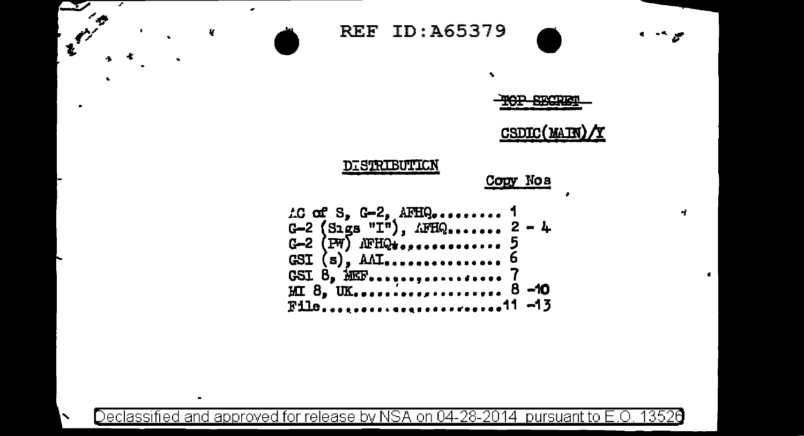

Declassified and approved for release by NSA on 04-28-2014  $\,$  pursuant to E.O. 13526  $\,$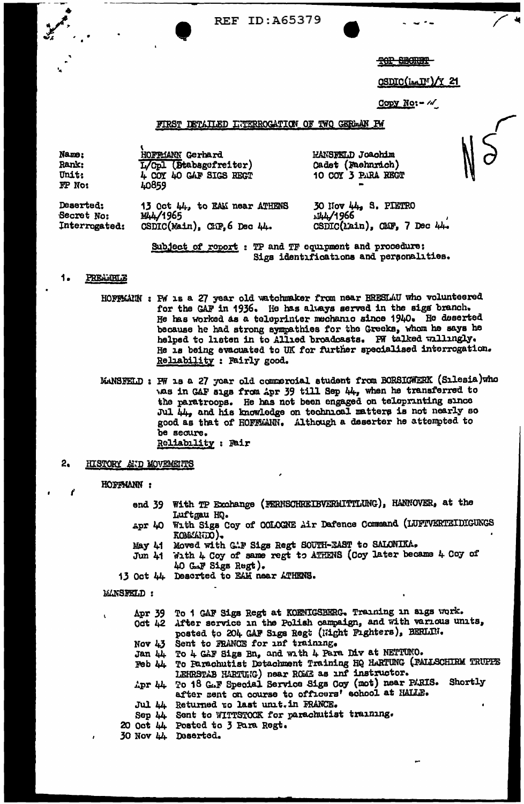**REF ID:A65379** 

THE SHORES

CSDIC(Int)/Y 21

Copy  $N_0$ :  $-$  / $\sqrt{ }$ 

# FIRST DETAILED LUTERROCATION OF TWO GERMAN PW

**HOFFMANN** Gerbard Name: L/Cpl (Stabsgefreiter) Rank: **Unit:** 4 COY 40 GAF SIGS REGT FP No: LO859

**HANSFELD Joachim** Cadet (Faehnrich) 10 COY 3 PARA REGT

Deserted: 13 Oct 44, to EAM near ATHENS Secret No: MA/1965 Interrogated: CSDIC(Main), CHF, 6 Dec 44.

30 Nov 44, S. PIETRO J44/1966 CSDIC(Lain), CMF, 7 Dec 44.

Subject of roport : TP and TF equipment and procedure: Sigs identifications and personalities.

#### PREAMBLE 1.

- HOFFMANN : FW 18 a 27 year old watchmaker from near BRESLAU who volunteered for the GAF in 1936. He has always served in the sigs branch. He has worked as a teleprinter mechanic since 1940. He deserted because he had strong sympathies for the Greeks, whom he says he helped to listen in to Allied broadcasts. PW talked willingly. He is being evacuated to UK for further specialised interrogation. Reliability : Fairly good.
- MANSFELD : PW 18 a 27 year old commercial student from BORSIGWERK (Sılesia)who was in GAF sigs from Apr 39 till Sep 44, when he transferred to the paratroops. He has not been engaged on teleprinting since Jul 44, and his knowledge on technical matters is not nearly so good as that of HOFFMANN. Although a deserter he attempted to be secure. Reliability : Fair

#### 2, HISTORY AND MOVEMENTS

# HOFFMANN:

end 39 With TP Exchange (FERNSCHREIBVERMITTLUNG), HANNOVER, at the Luftgau HQ.

- With Sigs Coy of COLOGNE Air Dafence Command (LUFTVERTEIDIGUNGS Apr 40 KOMMAND).
- Moved with G.P Sigs Regt SOUTH-EAST to SALONIKA. May 41
- With 4 Coy of same regt to ATHENS (Coy later became 4 Coy of Jun 41 40 GAF Sigs Regt).
- 13 Oct 44 Descrted to EAM near ATHENS.

# **MANSFELD:**

| Apr 39 To 1 GAF Sigs Regt at KOENIGSBERG. Training in sigs work.        |  |  |
|-------------------------------------------------------------------------|--|--|
| Oct 42 After service in the Polish campaign, and with various units,    |  |  |
| posted to 204 GAF Sigs Regt (Hight Fighters), BERLIN.                   |  |  |
| Nov 43 Sent to FRANCE for anf training.                                 |  |  |
| Jan 44 To 4 GAF Sigs Bn, and with 4 Para Div at NETTUNO.                |  |  |
| Feb 44 To Parachutist Detachment Training HQ HARTUNG (PALLSCHIRM TRUPPE |  |  |
| LEHRSTAB HARTUNG) near ROME as inf instructor.                          |  |  |
| Apr 44 To 18 GAF Special Service Sigs Coy (mot) near PARIS. Shortly     |  |  |
| after sent on course to officers' school at HALLE.                      |  |  |
| Jul 44 Returned to last unit. in FRANCE.                                |  |  |
| Sep 44 Sent to WITTSTOCK for parachutist training.                      |  |  |
| 20 Oct 44 Posted to 3 Para Regt.                                        |  |  |
| $30$ Nov $h$ , meantad,                                                 |  |  |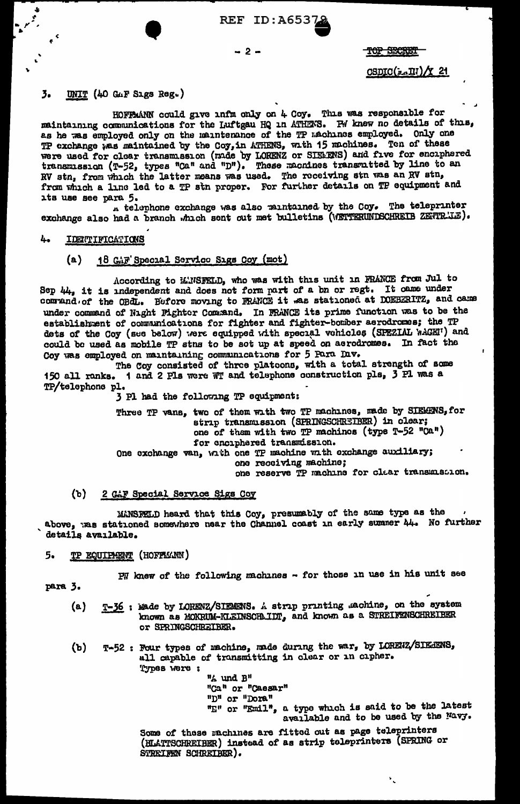**REF ID: A6537** 

# $-2 -$

TOP SECRET

CSDIC( $x \sim \Pi$ ) / 21

# $\overline{3}$ UNIT (40 GAF Sigs Reg.)

HOFFMANN could give infm only on 4 Coy. This was responsible for maintaining communications for the Luftgau HQ in ATHENS. PW knew no details of this, as he was employed only on the maintenance of the TP machines employed. Only one TP exchange was maintained by the Coy, in ATHENS, with 15 machines. Ten of these<br>were used for clear transmission (made by LORENZ or SISERNS) and five for enciphered<br>transmission (T-52, types "Ca" and "D"). These macnines from which a line led to a TP stn proper. For further details on TP equipment and its use see para 5.

A telephone exchange was also maintained by the Coy. The teleprinter exchange also had a branch which sent out met bulletins (WETTERUNDSCHREIB ZETTR'JE).

### 4. IDENTIFICATIONS

### 18 GAF Special Service Sigs Coy (mot)  $(a)$

According to MANSFELD, who was with this unit in FRANCE from Jul to Sep 44, it is independent and does not form part of a bn or regt. It came under command of the OBdL. Before moving to FRANCE it was stationed at DOEBERITZ, and came under command of Night Fighter Command. In FRANCE its prime function was to be the establishment of communications for fighter and fighter-bomber aerodromes; the TP dets of the Coy (see below) were equipped with special vehicles (SPEZIAL WAGET) and could be used as mobile TP stns to be sot up at speed on aerodromes. In fact the Coy was employed on maintaining communications for 5 Para Dav.

The Coy consisted of three platoons, with a total strength of some 150 all ranks. 1 and 2 Pls were WT and telephone construction pls, 3 Pl was a TP/telephone pl.

3 Pl had the following TP equipment:

Three TP vans, two of them with two TP machines, made by SIEMENS, for strip transmission (SPRINGSCHREIBER) in clear; one of them with two TP machines (type T-52 "Ca") for enciphered transmission. One exchange van, with one TP machine with exchange auxiliary; one receiving machine; one reserve TP machine for clar transmission.

#### $(b)$ 2 GAF Special Service Sigs Coy

MANSFELD heard that this Coy, presumably of the same type as the above, was stationed somewhere near the Channel coast in early summer 44. No further details available.

### 5. **TP EQUIPAENT (HOFFMAN)**

 $PI$  knew of the following machines - for those in use in his unit see

para 3.

- T-36 : Made by LORENZ/SIEMENS. A strip printing machine, on the system  $(a)$ known as MOKRUM-KLEINSCHLIDT, and known as a STREIFENSCHREIBER or SPRINGSCHREIBER.
- T-52 : Four types of machine, made during the war, by LORENZ/SIE-FENS,  $(b)$ all capable of transmitting in clear or in cipher. Types were:

"A und B" "Ca" or "Caesar" "D" or "Dora" "E" or "Emil", a type which is said to be the latest available and to be used by the Navy.

۰.

Some of these rachines are fitted out as page teleprinters (HLATTSCHREIBER) instead of as strip toleprinters (SPRING or STREIFEN SCHREIBER).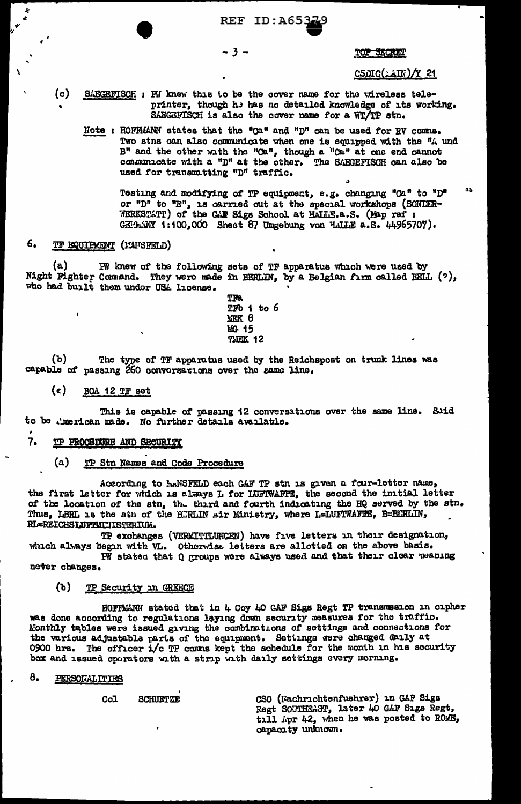REF ID:A653

 $-3-$ 

TOP SECRET

<u>CSOIC(AIN)/Y 21</u>

- $\circ$ SAECEFISCH: FM knew this to be the cover name for the wireless teleprinter, though he has no detailed knowledge of its working. SAEGEFISCH is also the cover name for a WT/TP stn.
	- Note: HOFFMANN states that the "Ca" and "D" can be used for RV comms. Two stns can also communicate when one is equipped with the "A und B" and the other with the "Ca", though a "Ca" at one end cannot communicate with a "D" at the other. The SAEGEFISOH can also be used for transmitting "D" traffic.

Testing and modifying of TP equipment, e.g. changing "Ca" to "D" or "D" to "E", is carried out at the special workshops (SONDER-<br>WERKSTATT) of the GAF Sigs School at HALLE.a.S. (Map ref : GET LINY 1:100,000 Sheet 87 Ungebung von HALLE a.S. 44965707).

## 6. TF EQUIPMENT (MATSFELD)

 $(a)$ IW knew of the following sets of TF apparatus which were used by Night Fighter Command. They were made in BERLIN, by a Belgian firm called BEIL (?), who had built them under USA license.

> TFa TFb 1 to 6 NEK 8 MG 15 **?MEK 12**

 $(b)$ The type of TF apparatus used by the Reichspost on trunk lines was capable of passing 260 convorsations over the same line.

#### $(c)$ BOA 12 TF set

This is capable of passing 12 conversations over the same line. Suid to be .'merican made. No further details available.

#### $7.$ **TP PROCEDURE AND SECURITY**

 $(a)$ TP Stn Names and Code Procedure

According to BANSFELD each GAF TP stn is given a four-letter name, the first letter for which is always L for LUFTWAFFE, the second the initial letter of the location of the stn, the third and fourth indicating the HQ served by the stn. Thus, LBRL is the stn of the BURLIN air Ministry, where L=LUFTWAFFE, B=BURLIN, RI-REICHSLUFTMLUISTERIUM.

TP exchanges (VERMITTLUNGEN) have five letters in their designation, which always begin with VL. Otherwise letters are allotted on the above basis.

PW stated that Q groups were always used and that their clear waning never changes.

#### $(b)$ TP Security in GREECE

HOFFMANN stated that in 4 Coy 40 GAF Sigs Regt TP transmssion in cipher was done according to regulations laying down security measures for the traffic. Monthly tables were issued giving the combinations of settings and connections for the various adjustable parts of the equipment. Settings were changed daily at 0900 hrs. The officer i/c TP comms kept the schedule for the month in his security box and issued operators with a strip with daily settings every morning.

#### 8. PERSONALITIES

**SCHUETZE**  $Co<sub>1</sub>$ 

CSO (Kachrichtenfuehrer) in GAF Sigs Regt SOUTHEAST, later 40 GAF Sıgs Regt, till Apr 42, when he was posted to ROME, capacity unknown.